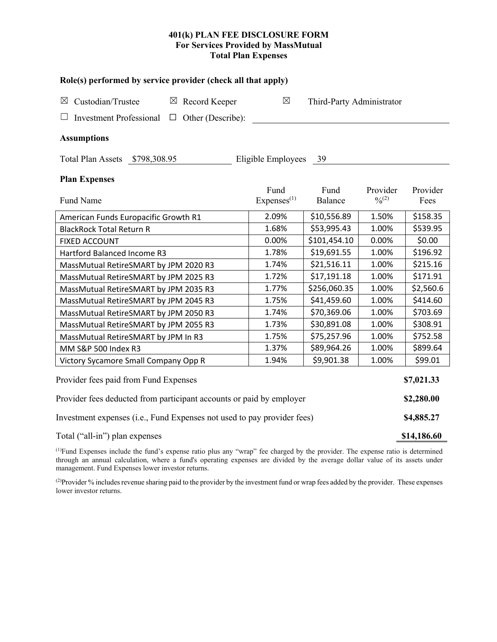# **401(k) PLAN FEE DISCLOSURE FORM For Services Provided by MassMutual Total Plan Expenses**

| Role(s) performed by service provider (check all that apply)            |                             |                                |                           |                         |                  |  |  |  |  |
|-------------------------------------------------------------------------|-----------------------------|--------------------------------|---------------------------|-------------------------|------------------|--|--|--|--|
| Custodian/Trustee<br>$\boxtimes$ Record Keeper<br>$\boxtimes$           |                             | $\boxtimes$                    | Third-Party Administrator |                         |                  |  |  |  |  |
| <b>Investment Professional</b>                                          | Other (Describe):<br>$\Box$ |                                |                           |                         |                  |  |  |  |  |
| <b>Assumptions</b>                                                      |                             |                                |                           |                         |                  |  |  |  |  |
| Eligible Employees 39<br>Total Plan Assets \$798,308.95                 |                             |                                |                           |                         |                  |  |  |  |  |
| <b>Plan Expenses</b>                                                    |                             |                                |                           |                         |                  |  |  |  |  |
| Fund Name                                                               |                             | Fund<br>Express <sup>(1)</sup> | Fund<br>Balance           | Provider<br>$0/0^{(2)}$ | Provider<br>Fees |  |  |  |  |
| American Funds Europacific Growth R1                                    |                             | 2.09%                          | \$10,556.89               | 1.50%                   | \$158.35         |  |  |  |  |
| <b>BlackRock Total Return R</b>                                         | 1.68%                       | \$53,995.43                    | 1.00%                     | \$539.95                |                  |  |  |  |  |
| <b>FIXED ACCOUNT</b>                                                    |                             | 0.00%                          | \$101,454.10              | 0.00%                   | \$0.00           |  |  |  |  |
| Hartford Balanced Income R3                                             | 1.78%                       | \$19,691.55                    | 1.00%                     | \$196.92                |                  |  |  |  |  |
| MassMutual RetireSMART by JPM 2020 R3                                   | 1.74%                       | \$21,516.11                    | 1.00%                     | \$215.16                |                  |  |  |  |  |
| MassMutual RetireSMART by JPM 2025 R3                                   | 1.72%                       | \$17,191.18                    | 1.00%                     | \$171.91                |                  |  |  |  |  |
| MassMutual RetireSMART by JPM 2035 R3                                   | 1.77%                       | \$256,060.35                   | 1.00%                     | \$2,560.6               |                  |  |  |  |  |
| MassMutual RetireSMART by JPM 2045 R3                                   | 1.75%                       | \$41,459.60                    | 1.00%                     | \$414.60                |                  |  |  |  |  |
| MassMutual RetireSMART by JPM 2050 R3                                   | 1.74%                       | \$70,369.06                    | 1.00%                     | \$703.69                |                  |  |  |  |  |
| MassMutual RetireSMART by JPM 2055 R3                                   | 1.73%                       | \$30,891.08                    | 1.00%                     | \$308.91                |                  |  |  |  |  |
| MassMutual RetireSMART by JPM In R3                                     |                             | 1.75%                          | \$75,257.96               | 1.00%                   | \$752.58         |  |  |  |  |
| MM S&P 500 Index R3                                                     |                             | 1.37%                          | \$89,964.26               | 1.00%                   | \$899.64         |  |  |  |  |
| Victory Sycamore Small Company Opp R                                    |                             | 1.94%                          | \$9,901.38                | 1.00%                   | \$99.01          |  |  |  |  |
| Provider fees paid from Fund Expenses                                   |                             |                                |                           |                         |                  |  |  |  |  |
| Provider fees deducted from participant accounts or paid by employer    |                             |                                |                           |                         |                  |  |  |  |  |
| Investment expenses (i.e., Fund Expenses not used to pay provider fees) |                             |                                |                           |                         |                  |  |  |  |  |
| Total ("all-in") plan expenses                                          |                             |                                |                           |                         |                  |  |  |  |  |

(1) Fund Expenses include the fund's expense ratio plus any "wrap" fee charged by the provider. The expense ratio is determined through an annual calculation, where a fund's operating expenses are divided by the average dollar value of its assets under management. Fund Expenses lower investor returns.

(2) Provider % includes revenue sharing paid to the provider by the investment fund or wrap fees added by the provider. These expenses lower investor returns.